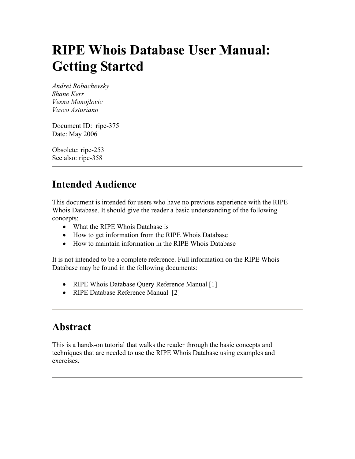# <span id="page-0-0"></span>**RIPE Whois Database User Manual: Getting Started**

*Andrei Robachevsky Shane Kerr Vesna Manojlovic Vasco Asturiano* 

Document ID: ripe-375 Date: May 2006

Obsolete: ripe-253 See also: ripe-358

# **Intended Audience**

This document is intended for users who have no previous experience with the RIPE Whois Database. It should give the reader a basic understanding of the following concepts:

- What the RIPE Whois Database is
- How to get information from the RIPE Whois Database
- How to maintain information in the RIPE Whois Database

It is not intended to be a complete reference. Full information on the RIPE Whois Database may be found in the following documents:

- RIPE Whois Database Query Reference Manual [1]
- RIPE Database Reference Manual [2]

### **Abstract**

This is a hands-on tutorial that walks the reader through the basic concepts and techniques that are needed to use the RIPE Whois Database using examples and exercises.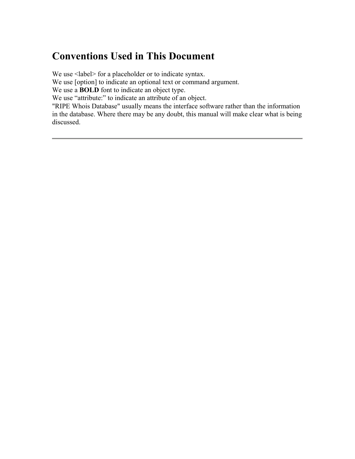# <span id="page-1-0"></span>**Conventions Used in This Document**

We use  $\le$ label> for a placeholder or to indicate syntax.

We use [option] to indicate an optional text or command argument.

We use a **BOLD** font to indicate an object type.

We use "attribute:" to indicate an attribute of an object.

"RIPE Whois Database" usually means the interface software rather than the information in the database. Where there may be any doubt, this manual will make clear what is being discussed.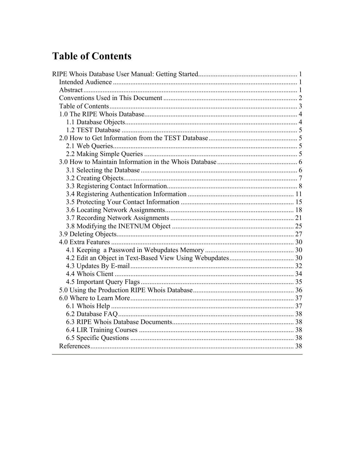# <span id="page-2-0"></span>**Table of Contents**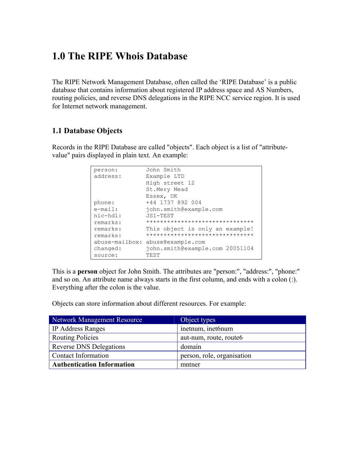### <span id="page-3-0"></span>**1.0 The RIPE Whois Database**

The RIPE Network Management Database, often called the 'RIPE Database' is a public database that contains information about registered IP address space and AS Numbers, routing policies, and reverse DNS delegations in the RIPE NCC service region. It is used for Internet network management.

### <span id="page-3-1"></span>**1.1 Database Objects**

Records in the RIPE Database are called "objects". Each object is a list of "attributevalue" pairs displayed in plain text. An example:

| person:        | John Smith                      |
|----------------|---------------------------------|
| address:       | Example LTD                     |
|                | High street 12                  |
|                | St.Mery Mead                    |
|                | Essex, UK                       |
| phone:         | +44 1737 892 004                |
| $e$ -mail:     | john.smith@example.com          |
| nic-hdl:       | JS1-TEST                        |
| remarks:       | ******************************* |
| remarks:       | This object is only an example! |
| remarks:       | ******************************* |
| abuse-mailbox: | abuse@example.com               |
| changed:       | john.smith@example.com 20051104 |
| source:        | TEST                            |

This is a **person** object for John Smith. The attributes are "person:", "address:", "phone:" and so on. An attribute name always starts in the first column, and ends with a colon (:). Everything after the colon is the value.

Objects can store information about different resources. For example:

| Network Management Resource       | Object types               |
|-----------------------------------|----------------------------|
| <b>IP Address Ranges</b>          | inetnum, inet6num          |
| <b>Routing Policies</b>           | aut-num, route, route6     |
| <b>Reverse DNS Delegations</b>    | domain                     |
| <b>Contact Information</b>        | person, role, organisation |
| <b>Authentication Information</b> | mntner                     |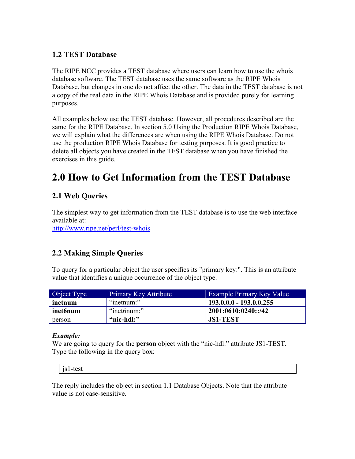### <span id="page-4-0"></span>**1.2 TEST Database**

The RIPE NCC provides a TEST database where users can learn how to use the whois database software. The TEST database uses the same software as the RIPE Whois Database, but changes in one do not affect the other. The data in the TEST database is not a copy of the real data in the RIPE Whois Database and is provided purely for learning purposes.

All examples below use the TEST database. However, all procedures described are the same for the RIPE Database. In section [5.0 Using the Production RIPE Whois Database,](#page-35-1) we will explain what the differences are when using the RIPE Whois Database. Do not use the production RIPE Whois Database for testing purposes. It is good practice to delete all objects you have created in the TEST database when you have finished the exercises in this guide.

### **2.0 How to Get Information from the TEST Database**

### <span id="page-4-1"></span>**2.1 Web Queries**

The simplest way to get information from the TEST database is to use the web interface available at:

<http://www.ripe.net/perl/test-whois>

### **2.2 Making Simple Queries**

To query for a particular object the user specifies its "primary key:". This is an attribute value that identifies a unique occurrence of the object type.

| Object Type | <b>Primary Key Attribute</b> | <b>Example Primary Key Value</b> |
|-------------|------------------------------|----------------------------------|
| inetnum     | "inetnum:"                   | $193.0.0.0 - 193.0.0.255$        |
| inet6num    | "inet6num:"                  | 2001:0610:0240::/42              |
| person      | "nic-hdl:"                   | <b>JS1-TEST</b>                  |

### *Example:*

We are going to query for the **person** object with the "nic-hdl:" attribute JS1-TEST. Type the following in the query box:

js1-test

The reply includes the object in section [1.1 Database Objects.](#page-3-1) Note that the attribute value is not case-sensitive.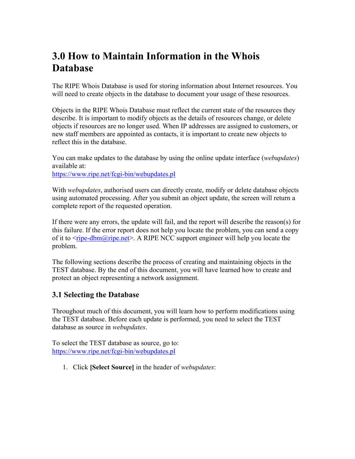# <span id="page-5-0"></span>**3.0 How to Maintain Information in the Whois Database**

The RIPE Whois Database is used for storing information about Internet resources. You will need to create objects in the database to document your usage of these resources.

Objects in the RIPE Whois Database must reflect the current state of the resources they describe. It is important to modify objects as the details of resources change, or delete objects if resources are no longer used. When IP addresses are assigned to customers, or new staff members are appointed as contacts, it is important to create new objects to reflect this in the database.

You can make updates to the database by using the online update interface (*webupdates*) available at:

<https://www.ripe.net/fcgi-bin/webupdates.pl>

With *webupdates*, authorised users can directly create, modify or delete database objects using automated processing. After you submit an object update, the screen will return a complete report of the requested operation.

If there were any errors, the update will fail, and the report will describe the reason(s) for this failure. If the error report does not help you locate the problem, you can send a copy of it to  $\langle \frac{\text{pipe-dbm}(\partial \text{pipe.net}}{\text{time}} \rangle$ . A RIPE NCC support engineer will help you locate the problem.

The following sections describe the process of creating and maintaining objects in the TEST database. By the end of this document, you will have learned how to create and protect an object representing a network assignment.

### <span id="page-5-1"></span>**3.1 Selecting the Database**

Throughout much of this document, you will learn how to perform modifications using the TEST database. Before each update is performed, you need to select the TEST database as source in *webupdates*.

To select the TEST database as source, go to: <https://www.ripe.net/fcgi-bin/webupdates.pl>

1. Click **[Select Source]** in the header of *webupdates*: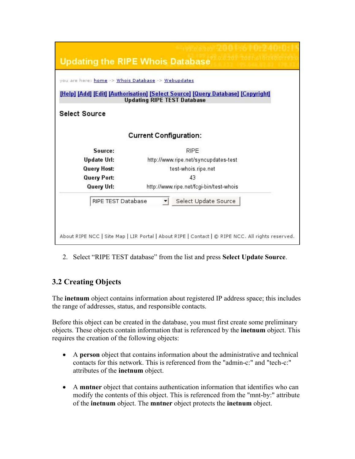<span id="page-6-0"></span>

| <b>Updating the RIPE Whois Database</b>            |                                                                                                                          |  |  |  |
|----------------------------------------------------|--------------------------------------------------------------------------------------------------------------------------|--|--|--|
| you are here: home -> Whois Database -> Webupdates |                                                                                                                          |  |  |  |
|                                                    | [Help] [Add] [Edit] [Authorisation] [Select Source] [Query Database] [Copyright]<br><b>Updating RIPE TEST Database</b>   |  |  |  |
| <b>Select Source</b>                               |                                                                                                                          |  |  |  |
|                                                    | <b>Current Configuration:</b>                                                                                            |  |  |  |
| Source:                                            | <b>RIPE</b>                                                                                                              |  |  |  |
| <b>Update Url:</b>                                 | http://www.ripe.net/syncupdates-test                                                                                     |  |  |  |
| <b>Query Host:</b>                                 | test-whois.ripe.net                                                                                                      |  |  |  |
| <b>Query Port:</b>                                 | 43                                                                                                                       |  |  |  |
| Query Url:                                         | http://www.ripe.net/fcgi-bin/test-whois                                                                                  |  |  |  |
| RIPE TEST Database                                 | Select Update Source<br>About RIPE NCC   Site Map   LIR Portal   About RIPE   Contact   © RIPE NCC. All rights reserved. |  |  |  |

2. Select "RIPE TEST database" from the list and press **Select Update Source**.

### **3.2 Creating Objects**

The **inetnum** object contains information about registered IP address space; this includes the range of addresses, status, and responsible contacts.

Before this object can be created in the database, you must first create some preliminary objects. These objects contain information that is referenced by the **inetnum** object. This requires the creation of the following objects:

- A **person** object that contains information about the administrative and technical contacts for this network. This is referenced from the "admin-c:" and "tech-c:" attributes of the **inetnum** object.
- A **mntner** object that contains authentication information that identifies who can modify the contents of this object. This is referenced from the "mnt-by:" attribute of the **inetnum** object. The **mntner** object protects the **inetnum** object.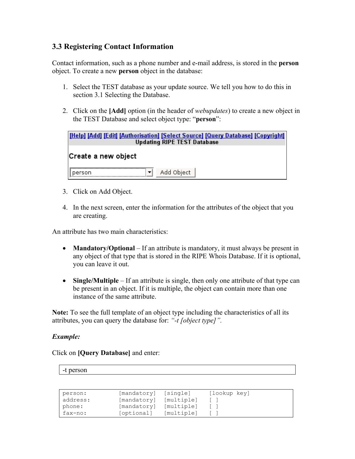### <span id="page-7-0"></span>**3.3 Registering Contact Information**

Contact information, such as a phone number and e-mail address, is stored in the **person** object. To create a new **person** object in the database:

- 1. Select the TEST database as your update source. We tell you how to do this in section [3.1 Selecting the Database.](#page-5-1)
- 2. Click on the **[Add]** option (in the header of *webupdates*) to create a new object in the TEST Database and select object type: "**person**":

| [Help] [Add] [Edit] [Authorisation] [Select Source] [Query Database] [Copyright]<br><b>Updating RIPE TEST Database</b> |  |  |
|------------------------------------------------------------------------------------------------------------------------|--|--|
| Create a new object                                                                                                    |  |  |
| Add Object<br>person                                                                                                   |  |  |

- 3. Click on Add Object.
- 4. In the next screen, enter the information for the attributes of the object that you are creating.

An attribute has two main characteristics:

- **Mandatory/Optional** If an attribute is mandatory, it must always be present in any object of that type that is stored in the RIPE Whois Database. If it is optional, you can leave it out.
- **Single/Multiple** If an attribute is single, then only one attribute of that type can be present in an object. If it is multiple, the object can contain more than one instance of the same attribute.

**Note:** To see the full template of an object type including the characteristics of all its attributes, you can query the database for: *"-t [object type]".* 

### *Example:*

Click on **[Query Database]** and enter:

-t person

| person:  | [mandatory] | [single]   | [lookup key] |
|----------|-------------|------------|--------------|
| address: | [mandatory] | [multiple] |              |
| phone:   | [mandatory] | [multiple] |              |
| fax-no:  | [optional]  | [multiple] |              |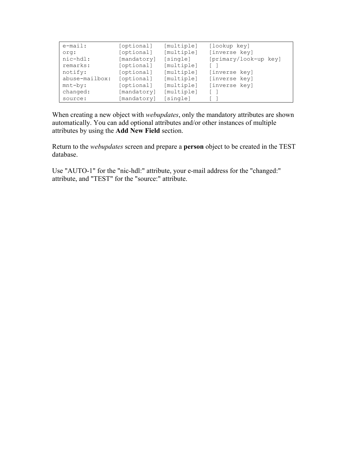| $e$ -mail:     | [optional]  | [multiple] | [lookup key]          |
|----------------|-------------|------------|-----------------------|
| crq:           | [optional]  | [multiple] | [inverse key]         |
| nic-hdl:       | [mandatory] | [single]   | [primary/look-up key] |
| remarks:       | [optional]  | [multiple] |                       |
| notify:        | [optional]  | [multiple] | [inverse key]         |
| abuse-mailbox: | [optional]  | [multiple] | [inverse key]         |
| $mnt-by:$      | [optional]  | [multiple] | [inverse key]         |
| changed:       | [mandatory] | [multiple] | $\sim$                |
| source:        | [mandatory] | [single]   |                       |

When creating a new object with *webupdates*, only the mandatory attributes are shown automatically. You can add optional attributes and/or other instances of multiple attributes by using the **Add New Field** section.

Return to the *webupdates* screen and prepare a **person** object to be created in the TEST database.

Use "AUTO-1" for the "nic-hdl:" attribute, your e-mail address for the "changed:" attribute, and "TEST" for the "source:" attribute.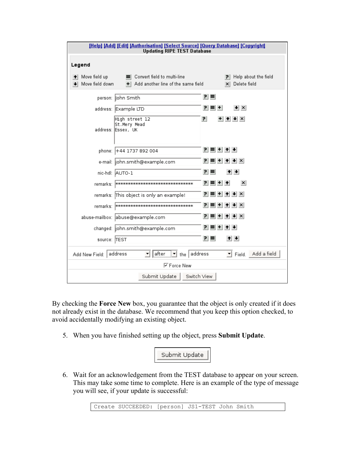| [Help] [Add] [Edit] [Authorisation] [Select Source] [Query Database] [Copyright]<br><b>Updating RIPE TEST Database</b> |                                                                              |                                                 |
|------------------------------------------------------------------------------------------------------------------------|------------------------------------------------------------------------------|-------------------------------------------------|
| Legend                                                                                                                 |                                                                              |                                                 |
| Move field up<br>Move field down                                                                                       | Convert field to multi-line<br>Add another line of the same field<br>$+$ $-$ | Help about the field<br>$\times$ Delete field   |
|                                                                                                                        | person:  John Smith                                                          | 리티                                              |
|                                                                                                                        | address: Example LTD                                                         | P I<br>$\vert \cdot \vert \times$<br>ᆸ<br>$\pm$ |
|                                                                                                                        | High street 12<br>St.Mery Mead<br>address: Essex, UK                         | 리<br>$+$ $+$ $+$ $\times$                       |
|                                                                                                                        | phone: +44 1737 892 004                                                      | 귀 티 비 쉬 쉬                                       |
|                                                                                                                        | e-mail:  john.smith@example.com                                              | t ↓ x                                           |
|                                                                                                                        | nic-hdl: AUTO-1                                                              | 린.<br>$+ + $<br>ᄐ                               |
|                                                                                                                        | remarks: [ноомного полового полового полового полового                       | $\equiv$ +<br>$\vert x \vert$<br>P I            |
|                                                                                                                        | remarks: This object is only an example!                                     | 린.<br>$+$ $+$ $+$ $\times$<br>ᆯ                 |
|                                                                                                                        | remarks:  *********************************                                  | Р.<br>$\downarrow$ $\times$                     |
|                                                                                                                        | abuse-mailbox: abuse@example.com                                             | ٦١<br>$+$ $+$ $+$ $\times$<br>트                 |
|                                                                                                                        | changed:  john.smith@example.com                                             | P I<br>트<br>$+1$<br>$+$                         |
| source: TEST                                                                                                           |                                                                              | 민리<br>$+ + $                                    |
| Add New Field:                                                                                                         | $\mathbf{I}$ the address<br>address<br>after<br>▼                            | Field. Add a field                              |
|                                                                                                                        | <b>▽ Force New</b>                                                           |                                                 |
|                                                                                                                        | Submit Update<br>Switch View                                                 |                                                 |

By checking the **Force New** box, you guarantee that the object is only created if it does not already exist in the database. We recommend that you keep this option checked, to avoid accidentally modifying an existing object.

5. When you have finished setting up the object, press **Submit Update**.



6. Wait for an acknowledgement from the TEST database to appear on your screen. This may take some time to complete. Here is an example of the type of message you will see, if your update is successful:

Create SUCCEEDED: [person] JS1-TEST John Smith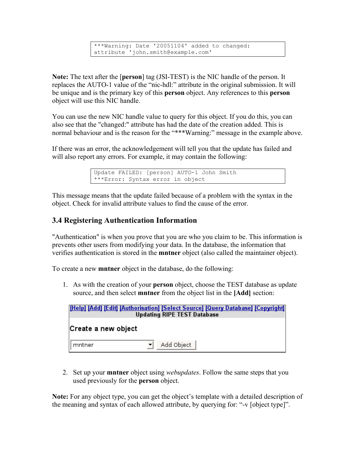```
***Warning: Date '20051104' added to changed: 
attribute 'john.smith@example.com'
```
<span id="page-10-0"></span>**Note:** The text after the [**person**] tag (JSI-TEST) is the NIC handle of the person. It replaces the AUTO-1 value of the "nic-hdl:" attribute in the original submission. It will be unique and is the primary key of this **person** object. Any references to this **person** object will use this NIC handle.

You can use the new NIC handle value to query for this object. If you do this, you can also see that the "changed:" attribute has had the date of the creation added. This is normal behaviour and is the reason for the "\*\*\*Warning:" message in the example above.

If there was an error, the acknowledgement will tell you that the update has failed and will also report any errors. For example, it may contain the following:

```
Update FAILED: [person] AUTO-1 John Smith 
***Error: Syntax error in object
```
This message means that the update failed because of a problem with the syntax in the object. Check for invalid attribute values to find the cause of the error.

### <span id="page-10-1"></span>**3.4 Registering Authentication Information**

"Authentication" is when you prove that you are who you claim to be. This information is prevents other users from modifying your data. In the database, the information that verifies authentication is stored in the **mntner** object (also called the maintainer object).

To create a new **mntner** object in the database, do the following:

1. As with the creation of your **person** object, choose the TEST database as update source, and then select **mntner** from the object list in the **[Add]** section:



2. Set up your **mntner** object using *webupdates*. Follow the same steps that you used previously for the **person** object.

**Note:** For any object type, you can get the object's template with a detailed description of the meaning and syntax of each allowed attribute, by querying for: "-v [object type]".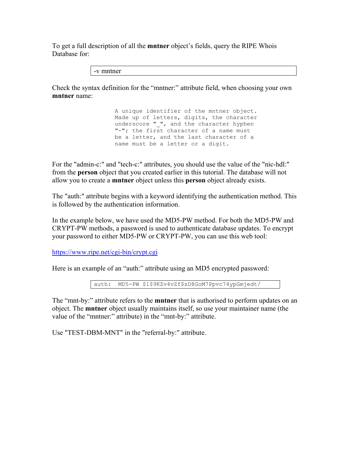To get a full description of all the **mntner** object's fields, query the RIPE Whois Database for:

-v mntner

Check the syntax definition for the "mntner:" attribute field, when choosing your own **mntner** name:

> A unique identifier of the mntner object. Made up of letters, digits, the character underscore " ", and the character hyphen "-"; the first character of a name must be a letter, and the last character of a name must be a letter or a digit.

For the "admin-c:" and "tech-c:" attributes, you should use the value of the "nic-hdl:" from the **person** object that you created earlier in this tutorial. The database will not allow you to create a **mntner** object unless this **person** object already exists.

The "auth:" attribute begins with a keyword identifying the authentication method. This is followed by the authentication information.

In the example below, we have used the MD5-PW method. For both the MD5-PW and CRYPT-PW methods, a password is used to authenticate database updates. To encrypt your password to either MD5-PW or CRYPT-PW, you can use this web tool:

<https://www.ripe.net/cgi-bin/crypt.cgi>

Here is an example of an "auth:" attribute using an MD5 encrypted password:

auth: MD5-PW \$1\$9KZv4vZf\$zD8GoM7Ppvc74ypGmjedt/

The "mnt-by:" attribute refers to the **mntner** that is authorised to perform updates on an object. The **mntner** object usually maintains itself, so use your maintainer name (the value of the "mntner:" attribute) in the "mnt-by:" attribute.

Use "TEST-DBM-MNT" in the "referral-by:" attribute.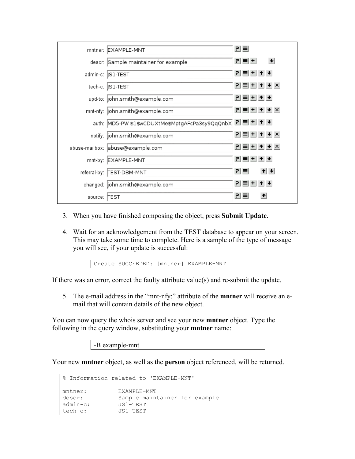|         | mntner: EXAMPLE-MNT                                  | 리티  |       |                        |
|---------|------------------------------------------------------|-----|-------|------------------------|
|         | descr: Sample maintainer for example                 |     | P ■ + | $\left  \cdot \right $ |
|         | admin-c:   S1-TEST                                   |     |       | 귀티비쉬베                  |
|         | tech-c:   S1-TEST                                    |     |       | 인터비치시시                 |
|         | upd-to: john.smith@example.com                       |     |       | 귀 티 비 쉬 베              |
|         | mnt-nfy: john.smith@example.com                      |     |       | $P \equiv  + + + $     |
|         | auth: MD5-PW \$1\$wCDUXtMe\$MptgAFcPa3sy9QqQnbX 리트비+ |     |       |                        |
|         | notify:  john.smith@example.com                      |     |       | 귀복비취+ X                |
|         | abuse-mailbox: abuse@example.com                     |     |       | $P =  + + + $          |
|         | mnt-by: EXAMPLE-MNT                                  |     |       | 힘들비치 세                 |
|         | referral-by:  TEST-DBM-MNT                           | 리티  |       | $+$ $+$                |
|         | changed:  john.smith@example.com                     |     |       | 인터+ 1 +                |
| source: | <b>TEST</b>                                          | PI. | ᄐ     | $\ddot{\phantom{1}}$   |

- 3. When you have finished composing the object, press **Submit Update**.
- 4. Wait for an acknowledgement from the TEST database to appear on your screen. This may take some time to complete. Here is a sample of the type of message you will see, if your update is successful:

Create SUCCEEDED: [mntner] EXAMPLE-MNT

If there was an error, correct the faulty attribute value(s) and re-submit the update.

5. The e-mail address in the "mnt-nfy:" attribute of the **mntner** will receive an email that will contain details of the new object.

You can now query the whois server and see your new **mntner** object. Type the following in the query window, substituting your **mntner** name:

-B example-mnt

Your new **mntner** object, as well as the **person** object referenced, will be returned.

```
% Information related to 'EXAMPLE-MNT' 
mntner: EXAMPLE-MNT 
descr: Sample maintainer for example 
admin-c: JS1-TEST 
tech-c: JS1-TEST
```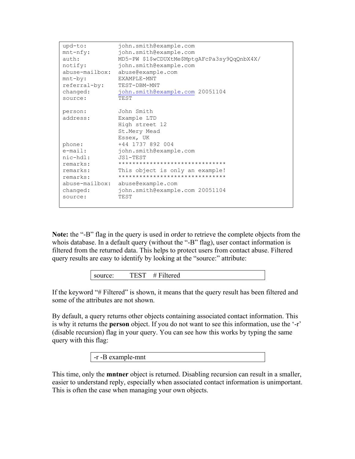| upd-to:<br>$mnt-nfy$ :<br>$\text{auth:}$<br>notify: | john.smith@example.com<br>john.smith@example.com<br>MD5-PW \$1\$wCDUXtMe\$MptgAFcPa3sy9QqQnbX4X/<br>john.smith@example.com<br>abuse-mailbox: abuse@example.com |
|-----------------------------------------------------|----------------------------------------------------------------------------------------------------------------------------------------------------------------|
| $mnt-by:$                                           | EXAMPLE-MNT                                                                                                                                                    |
| referral-by:                                        | TEST-DBM-MNT                                                                                                                                                   |
| changed:                                            | john.smith@example.com 20051104                                                                                                                                |
| source:                                             | TEST                                                                                                                                                           |
| person:<br>address:                                 | John Smith<br>Example LTD<br>High street 12<br>St.Mery Mead<br>Essex, UK<br>+44 1737 892 004                                                                   |
| phone:<br>$e$ -mail:                                | john.smith@example.com                                                                                                                                         |
| nic-hdl:                                            | $JS1-TEST$                                                                                                                                                     |
| remarks:                                            | *******************************                                                                                                                                |
| remarks:<br>remarks:                                | This object is only an example!<br>*******************************                                                                                             |
| changed:<br>source:                                 | abuse-mailbox: abuse@example.com<br>john.smith@example.com 20051104<br>TEST                                                                                    |

**Note:** the "-B" flag in the query is used in order to retrieve the complete objects from the whois database. In a default query (without the "-B" flag), user contact information is filtered from the returned data. This helps to protect users from contact abuse. Filtered query results are easy to identify by looking at the "source:" attribute:

source: TEST # Filtered

If the keyword "# Filtered" is shown, it means that the query result has been filtered and some of the attributes are not shown.

By default, a query returns other objects containing associated contact information. This is why it returns the **person** object. If you do not want to see this information, use the '-r' (disable recursion) flag in your query. You can see how this works by typing the same query with this flag:

-r -B example-mnt

This time, only the **mntner** object is returned. Disabling recursion can result in a smaller, easier to understand reply, especially when associated contact information is unimportant. This is often the case when managing your own objects.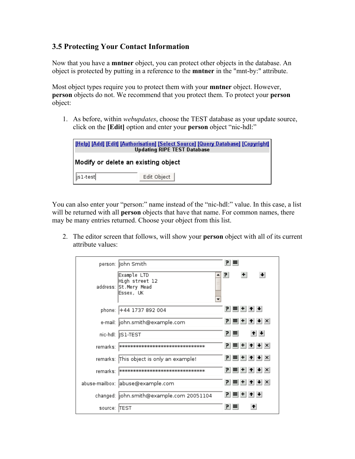### <span id="page-14-1"></span><span id="page-14-0"></span>**3.5 Protecting Your Contact Information**

Now that you have a **mntner** object, you can protect other objects in the database. An object is protected by putting in a reference to the **mntner** in the "mnt-by:" attribute.

Most object types require you to protect them with your **mntner** object. However, **person** objects do not. We recommend that you protect them. To protect your **person** object:

1. As before, within *webupdates*, choose the TEST database as your update source, click on the **[Edit]** option and enter your **person** object "nic-hdl:"

| [Help] [Add] [Edit] [Authorisation] [Select Source] [Query Database] [Copyright]<br><b>Updating RIPE TEST Database</b> |             |  |
|------------------------------------------------------------------------------------------------------------------------|-------------|--|
| Modify or delete an existing object                                                                                    |             |  |
| $\vert$ is 1-test                                                                                                      | Edit Object |  |

You can also enter your "person:" name instead of the "nic-hdl:" value. In this case, a list will be returned with all **person** objects that have that name. For common names, there may be many entries returned. Choose your object from this list.

2. The editor screen that follows, will show your **person** object with all of its current attribute values:

|               | person:  John Smith                                                      | 리트 |       |                        |
|---------------|--------------------------------------------------------------------------|----|-------|------------------------|
|               | Example LTD<br>High street 12<br>address: St.Mery Mead<br>Essex, UK<br>۰ | 쾬  | $+$   | $\left  \cdot \right $ |
|               | phone: +44 1737 892 004                                                  |    | 인티비취베 |                        |
|               | e-mail:  john.smith@example.com                                          |    |       | 귀복비취+ ×                |
|               | nic-hdl:   S1-TEST                                                       | 리트 |       | $+$ $+$                |
| remarks:      |                                                                          |    |       | 귀=++++×                |
|               | remarks: This object is only an example!                                 |    |       | 귀 = + + + + ×          |
| remarks:      |                                                                          |    |       | $P = + +$              |
|               | abuse-mailbox:  abuse@example.com                                        |    |       | <u>리티베시시</u> ×         |
|               | changed:  john.smith@example.com 20051104                                |    | 인티비쉬베 |                        |
| source: ITEST |                                                                          |    |       | Ť                      |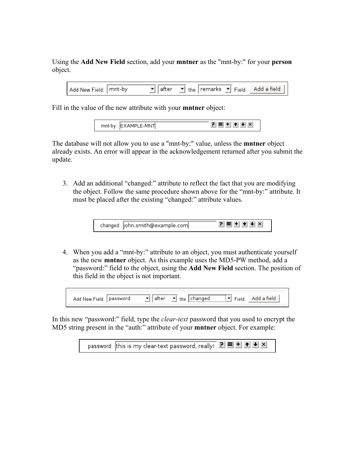Using the **Add New Field** section, add your **mntner** as the "mnt-by:" for your **person** object.

Add New Field: mnt-by  $\blacktriangleright$  the remarks  $\blacktriangleright$  Field.  $\mathbf{I}$  after Add a field

Fill in the value of the new attribute with your **mntner** object:

| mnt-by: EXAMPLE-MNT |  | ▔▀ <sup>▏</sup> +▏╋▏╋▏╳▏ |
|---------------------|--|--------------------------|

The database will not allow you to use a "mnt-by:" value, unless the **mntner** object already exists. An error will appear in the acknowledgement returned after you submit the update.

3. Add an additional "changed:" attribute to reflect the fact that you are modifying the object. Follow the same procedure shown above for the "mnt-by:" attribute. It must be placed after the existing "changed:" attribute values.

| changed:  john.smith@example.com | 리트 비치 시시 |
|----------------------------------|----------|
|----------------------------------|----------|

4. When you add a "mnt-by:" attribute to an object, you must authenticate yourself as the new **mntner** object. As this example uses the MD5-PW method, add a "password:" field to the object, using the **Add New Field** section. The position of this field in the object is not important.

|  |       | <u></u>                       |  |
|--|-------|-------------------------------|--|
|  | 111 C | $\overline{\phantom{a}}$<br>. |  |
|  |       |                               |  |

In this new "password:" field, type the *clear-text* password that you used to encrypt the MD5 string present in the "auth:" attribute of your **mntner** object. For example:

password: this is my clear-text password, really!  $\boxed{P}$   $\equiv$   $\boxed{+}$   $\boxed{+}$   $\boxed{+}$   $\boxed{\times}$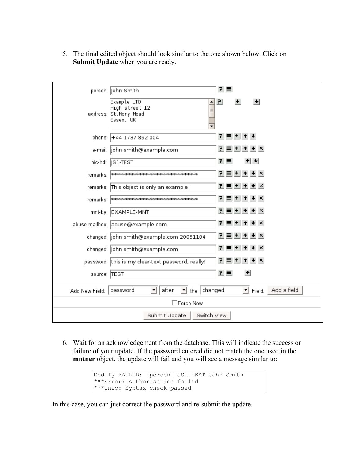5. The final edited object should look similar to the one shown below. Click on **Submit Update** when you are ready.

|                           | person:  John Smith                                                 | 리   | ᄐ  |              |                         |                    |
|---------------------------|---------------------------------------------------------------------|-----|----|--------------|-------------------------|--------------------|
|                           | Example LTD<br>High street 12<br>address: St.Mery Mead<br>Essex, UK | 리   |    | $+$          | $\left  \cdot \right $  |                    |
|                           | phone: +44 1737 892 004                                             |     |    |              | PIEL+L↑L+L              |                    |
|                           | e-mail:  john.smith@example.com                                     | P.  | ≡  |              | $+$ $+$ $\times$        |                    |
|                           | nic-hdl:   S1-TEST                                                  |     | 킨트 |              | $+$ $+$                 |                    |
|                           | remarks:   **********************************                       | PI. |    |              | <b>া + ↑ +</b> ×        |                    |
|                           | remarks: This object is only an example!                            |     |    |              | $ P  \equiv  P  +  P $  |                    |
|                           | remarks:   **********************************                       | PI. |    |              |                         |                    |
|                           | mnt-by: EXAMPLE-MNT                                                 |     |    |              | $P = + + +$             |                    |
|                           | abuse-mailbox: abuse@example.com                                    | P.  |    |              | $\equiv$ + + + $\times$ |                    |
|                           | changed:  john.smith@example.com 20051104                           | P.  |    |              |                         |                    |
|                           | changed:  john.smith@example.com                                    | PI. |    | $\equiv$ $+$ | $+$ $+$ $\times$        |                    |
|                           | password: this is my clear-text password, really!                   | PI. |    |              | $+$ $+$ $\times$        |                    |
| source: TEST              |                                                                     |     | 리티 |              | $\left  \cdot \right $  |                    |
| Add New Field:   password | $\mathbf{I}$ the changed<br>after<br>▾                              |     |    |              |                         | Field. Add a field |
|                           | $\Box$ Force New                                                    |     |    |              |                         |                    |
|                           | Submit Update<br>Switch View                                        |     |    |              |                         |                    |

6. Wait for an acknowledgement from the database. This will indicate the success or failure of your update. If the password entered did not match the one used in the **mntner** object, the update will fail and you will see a message similar to:

```
Modify FAILED: [person] JS1-TEST John Smith 
***Error: Authorisation failed 
***Info: Syntax check passed
```
In this case, you can just correct the password and re-submit the update.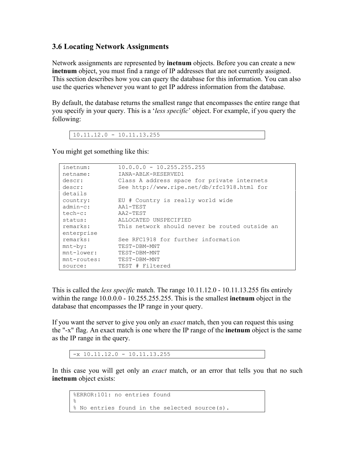### <span id="page-17-1"></span><span id="page-17-0"></span>**3.6 Locating Network Assignments**

Network assignments are represented by **inetnum** objects. Before you can create a new **inetnum** object, you must find a range of IP addresses that are not currently assigned. This section describes how you can query the database for this information. You can also use the queries whenever you want to get IP address information from the database.

By default, the database returns the smallest range that encompasses the entire range that you specify in your query. This is a '*less specific*' object. For example, if you query the following:

 $10.11.12.0 - 10.11.13.255$ 

You might get something like this:

| inetnum:       | $10.0.0.0 - 10.255.255.255$                    |
|----------------|------------------------------------------------|
| netname:       | IANA-ABLK-RESERVED1                            |
| descr:         | Class A address space for private internets    |
| descr:         | See http://www.ripe.net/db/rfc1918.html for    |
| details        |                                                |
| country:       | EU # Country is really world wide              |
| $admin-c$ :    | AA1-TEST                                       |
| $tech-c:$      | AA2-TEST                                       |
| status:        | ALLOCATED UNSPECIFIED                          |
| remarks:       | This network should never be routed outside an |
| enterprise     |                                                |
| remarks:       | See RFC1918 for further information            |
| $mnt-by:$      | TEST-DBM-MNT                                   |
| $mnt-lower:$   | TEST-DBM-MNT                                   |
| $mnt$ -routes: | TEST-DBM-MNT                                   |
| source:        | TEST # Filtered                                |

This is called the *less specific* match. The range 10.11.12.0 - 10.11.13.255 fits entirely within the range 10.0.0.0 - 10.255.255.255. This is the smallest **inetnum** object in the database that encompasses the IP range in your query.

If you want the server to give you only an *exact* match, then you can request this using the "-x" flag. An exact match is one where the IP range of the **inetnum** object is the same as the IP range in the query.

```
-x 10.11.12.0 - 10.11.13.255
```
In this case you will get only an *exact* match, or an error that tells you that no such **inetnum** object exists:

```
%ERROR:101: no entries found 
\frac{8}{6}% No entries found in the selected source(s).
```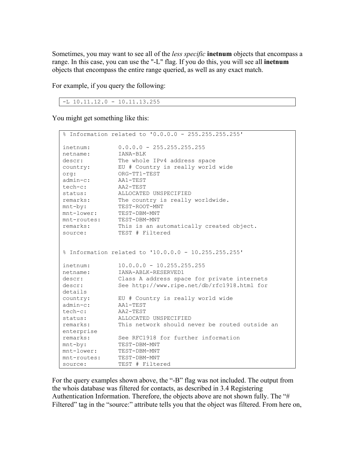Sometimes, you may want to see all of the *less specific* **inetnum** objects that encompass a range. In this case, you can use the "-L" flag. If you do this, you will see all **inetnum** objects that encompass the entire range queried, as well as any exact match.

For example, if you query the following:

```
-L 10.11.12.0 - 10.11.13.255
```
You might get something like this:

|             | % Information related to '0.0.0.0 - 255.255.255.255' |
|-------------|------------------------------------------------------|
| inetnum:    | $0.0.0.0 - 255.255.255.255$                          |
| netname:    | IANA-BLK                                             |
| descr:      | The whole IPv4 address space                         |
| country:    | EU # Country is really world wide                    |
| org:        | ORG-TT1-TEST                                         |
| admin-c:    | AA1-TEST                                             |
| tech-c:     | AA2-TEST                                             |
| status:     | ALLOCATED UNSPECIFIED                                |
| remarks:    | The country is really worldwide.                     |
| mnt-by:     | TEST-ROOT-MNT                                        |
| mnt-lower:  | TEST-DBM-MNT                                         |
|             | mnt-routes: TEST-DBM-MNT                             |
| remarks:    | This is an automatically created object.             |
| source:     | TEST # Filtered                                      |
|             | % Information related to '10.0.0.0 - 10.255.255.255' |
| inetnum:    | $10.0.0.0 - 10.255.255.255$                          |
| netname:    | IANA-ABLK-RESERVED1                                  |
| descr:      | Class A address space for private internets          |
| descr:      | See http://www.ripe.net/db/rfc1918.html for          |
| details     |                                                      |
| country:    | EU # Country is really world wide                    |
| admin-c:    | AA1-TEST                                             |
| tech-c:     | AA2-TEST                                             |
| status:     | ALLOCATED UNSPECIFIED                                |
| remarks:    | This network should never be routed outside an       |
| enterprise  |                                                      |
| remarks:    | See RFC1918 for further information                  |
| mnt-by:     | TEST-DBM-MNT                                         |
| mnt-lower:  | TEST-DBM-MNT                                         |
| mnt-routes: | TEST-DBM-MNT                                         |
| source:     | TEST # Filtered                                      |

For the query examples shown above, the "-B" flag was not included. The output from the whois database was filtered for contacts, as described in [3.4 Registering](#page-10-1)  [Authentication Information.](#page-10-1) Therefore, the objects above are not shown fully. The "# Filtered" tag in the "source:" attribute tells you that the object was filtered. From here on,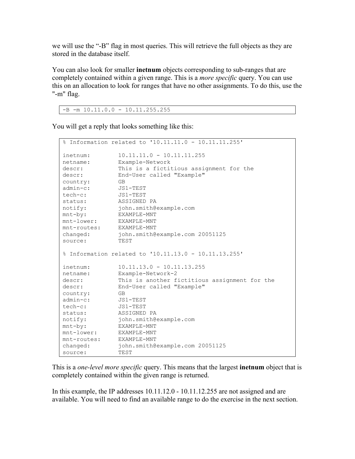we will use the "-B" flag in most queries. This will retrieve the full objects as they are stored in the database itself.

You can also look for smaller **inetnum** objects corresponding to sub-ranges that are completely contained within a given range. This is a *more specific* query. You can use this on an allocation to look for ranges that have no other assignments. To do this, use the "-m" flag.

-B -m 10.11.0.0 - 10.11.255.255

You will get a reply that looks something like this:

|                         | % Information related to '10.11.11.0 - 10.11.11.255' |
|-------------------------|------------------------------------------------------|
| inetnum:                | $10.11.11.0 - 10.11.11.255$                          |
| netname:                | Example-Network                                      |
| descr:                  | This is a fictitious assignment for the              |
| descr:                  | End-User called "Example"                            |
| country:                | <b>GB</b>                                            |
| admin-c:                | JS1-TEST                                             |
| tech-c:                 | JS1-TEST                                             |
|                         | status: ASSIGNED PA                                  |
|                         | notify: john.smith@example.com                       |
| mnt-by:                 | EXAMPLE-MNT                                          |
| mnt-lower: EXAMPLE-MNT  |                                                      |
| mnt-routes: EXAMPLE-MNT |                                                      |
| changed:                | john.smith@example.com 20051125                      |
| source:                 | TEST                                                 |
|                         | % Information related to '10.11.13.0 - 10.11.13.255' |
| inetnum:                | $10.11.13.0 - 10.11.13.255$                          |
| netname:                | Example-Network-2                                    |
| descr:                  | This is another fictitious assignment for the        |
| descr:                  | End-User called "Example"                            |
| country: GB             |                                                      |
| admin-c:    JS1-TEST    |                                                      |
| tech-c:                 | JS1-TEST                                             |
| status:                 | ASSIGNED PA                                          |
|                         | notify: john.smith@example.com                       |
| mnt-by:                 | EXAMPLE-MNT                                          |
| mnt-lower:              | EXAMPLE-MNT                                          |
| mnt-routes: EXAMPLE-MNT |                                                      |
| changed:                | john.smith@example.com 20051125                      |
| source:                 | TEST                                                 |

This is a *one-level more specific* query. This means that the largest **inetnum** object that is completely contained within the given range is returned.

In this example, the IP addresses 10.11.12.0 - 10.11.12.255 are not assigned and are available. You will need to find an available range to do the exercise in the next section.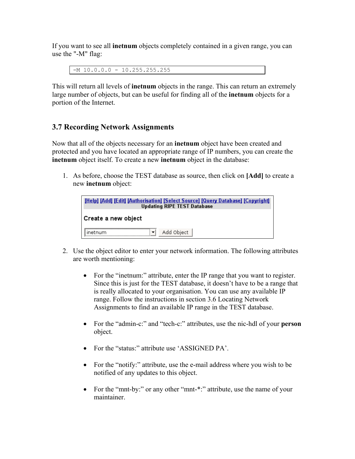<span id="page-20-0"></span>If you want to see all **inetnum** objects completely contained in a given range, you can use the "-M" flag:

 $-M$  10.0.0.0 - 10.255.255.255

This will return all levels of **inetnum** objects in the range. This can return an extremely large number of objects, but can be useful for finding all of the **inetnum** objects for a portion of the Internet.

### **3.7 Recording Network Assignments**

Now that all of the objects necessary for an **inetnum** object have been created and protected and you have located an appropriate range of IP numbers, you can create the **inetnum** object itself. To create a new **inetnum** object in the database:

1. As before, choose the TEST database as source, then click on **[Add]** to create a new **inetnum** object:

| <b>[Help] [Add] [Edit] [Authorisation] [Select Source] [Query Database] [Copyright]</b><br><b>Updating RIPE TEST Database</b> |
|-------------------------------------------------------------------------------------------------------------------------------|
| Create a new object                                                                                                           |
| Add Object<br>ietnum                                                                                                          |

- 2. Use the object editor to enter your network information. The following attributes are worth mentioning:
	- For the "inetnum:" attribute, enter the IP range that you want to register. Since this is just for the TEST database, it doesn't have to be a range that is really allocated to your organisation. You can use any available IP range. Follow the instructions in section [3.6 Locating Network](#page-17-1)  [Assignments](#page-17-1) to find an available IP range in the TEST database.
	- For the "admin-c:" and "tech-c:" attributes, use the nic-hdl of your **person** object.
	- For the "status:" attribute use 'ASSIGNED PA'.
	- For the "notify:" attribute, use the e-mail address where you wish to be notified of any updates to this object.
	- For the "mnt-by:" or any other "mnt-\*:" attribute, use the name of your maintainer.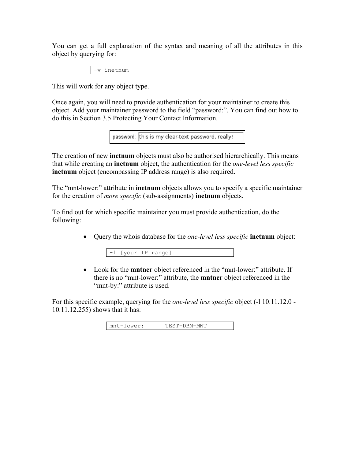You can get a full explanation of the syntax and meaning of all the attributes in this object by querying for:

-v inetnum

This will work for any object type.

Once again, you will need to provide authentication for your maintainer to create this object. Add your maintainer password to the field "password:". You can find out how to do this in Section [3.5 Protecting Your Contact Information.](#page-14-1)

password: this is my clear-text password, really!

The creation of new **inetnum** objects must also be authorised hierarchically. This means that while creating an **inetnum** object, the authentication for the *one-level less specific* **inetnum** object (encompassing IP address range) is also required.

The "mnt-lower:" attribute in **inetnum** objects allows you to specify a specific maintainer for the creation of *more specific* (sub-assignments) **inetnum** objects.

To find out for which specific maintainer you must provide authentication, do the following:

• Query the whois database for the *one-level less specific* **inetnum** object:

• Look for the **mntner** object referenced in the "mnt-lower:" attribute. If there is no "mnt-lower:" attribute, the **mntner** object referenced in the "mnt-by:" attribute is used.

For this specific example, querying for the *one-level less specific* object (-l 10.11.12.0 - 10.11.12.255) shows that it has:

| $\sim$ $\cdot$<br>. .<br>ıV<br>Mf<br>M<br>н.<br>.<br>Ë<br>______<br>______<br>_____ |
|-------------------------------------------------------------------------------------|
|-------------------------------------------------------------------------------------|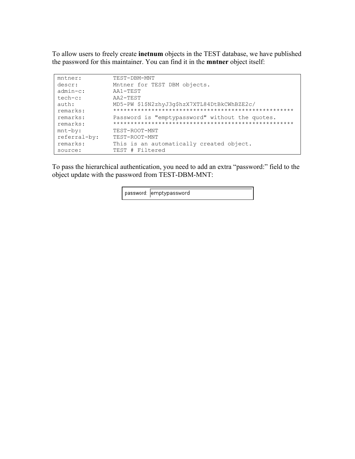To allow users to freely create **inetnum** objects in the TEST database, we have published the password for this maintainer. You can find it in the **mntner** object itself:

| $m$ tner:      | TEST-DBM-MNT                                    |
|----------------|-------------------------------------------------|
| descr:         | Mntner for TEST DBM objects.                    |
| $admin-c$ :    | AA1-TEST                                        |
| tech-c:        | AA2-TEST                                        |
| $\text{auth:}$ | MD5-PW \$1\$N2zhyJ3q\$hzX7XTL84DtBkCWhBZE2c/    |
| remarks:       |                                                 |
| remarks:       | Password is "emptypassword" without the quotes. |
| remarks:       |                                                 |
| $mnt-by:$      | TEST-ROOT-MNT                                   |
| referral-by:   | TEST-ROOT-MNT                                   |
| remarks:       | This is an automatically created object.        |
| source:        | TEST # Filtered                                 |

To pass the hierarchical authentication, you need to add an extra "password:" field to the object update with the password from TEST-DBM-MNT:

password: emptypassword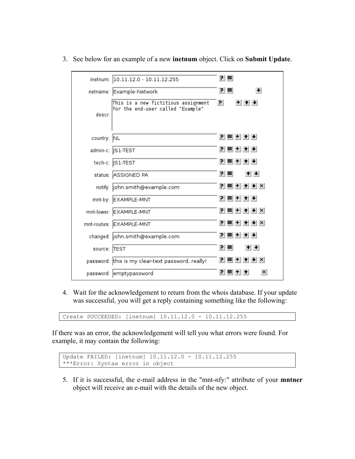|              | inetnum:  10.11.12.0 - 10.11.12.255                                      | 민리                                                                                                                                 |
|--------------|--------------------------------------------------------------------------|------------------------------------------------------------------------------------------------------------------------------------|
|              | netname: Example-Network                                                 | 귀티                                                                                                                                 |
| descri       | This is a new fictitious assignment<br>for the end-user called "Example" | $+$ $+$ $+$<br>P.                                                                                                                  |
| country: NL  |                                                                          | 귀 티 비 쉬 +                                                                                                                          |
|              | admin-c:   S1-TEST                                                       | 인티비소★                                                                                                                              |
|              | tech-c:   S1-TEST                                                        | 인터비취+                                                                                                                              |
|              | status: ASSIGNED PA                                                      | $+ + $<br>민리                                                                                                                       |
|              | notify: john.smith@example.com                                           | $P = +$ $+$ $+$ $\times$                                                                                                           |
|              | mnt-by: EXAMPLE-MNT                                                      | $P = +$ $+$                                                                                                                        |
|              | mnt-lower: EXAMPLE-MNT                                                   | $ P  \equiv  P  +  P  +  X $                                                                                                       |
|              | mnt-routes: EXAMPLE-MNT                                                  | 귀 = + + + + ×                                                                                                                      |
|              | changed:  john.smith@example.com                                         | ≡E + E + H<br>P.                                                                                                                   |
| source: TEST |                                                                          | $+$ $+$<br>민리                                                                                                                      |
|              | password: this is my clear-text password, really!                        | $\left  \mathbf{P} \right  \equiv \left  \mathbf{H} \right  \mathbf{A} \left  \mathbf{H} \right  \times \left  \mathbf{H} \right $ |
|              | password:  emptypassword                                                 | $\vert x \vert$<br>PΙ<br>≡⊩⊤                                                                                                       |

3. See below for an example of a new **inetnum** object. Click on **Submit Update**.

4. Wait for the acknowledgement to return from the whois database. If your update was successful, you will get a reply containing something like the following:

Create SUCCEEDED: [inetnum] 10.11.12.0 - 10.11.12.255

If there was an error, the acknowledgement will tell you what errors were found. For example, it may contain the following:

```
Update FAILED: [inetnum] 10.11.12.0 - 10.11.12.255 
***Error: Syntax error in object
```
5. If it is successful, the e-mail address in the "mnt-nfy:" attribute of your **mntner** object will receive an e-mail with the details of the new object.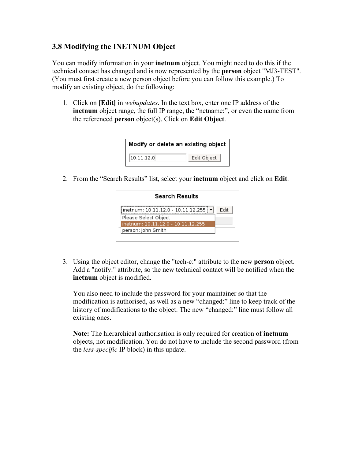### <span id="page-24-1"></span><span id="page-24-0"></span>**3.8 Modifying the INETNUM Object**

You can modify information in your **inetnum** object. You might need to do this if the technical contact has changed and is now represented by the **person** object "MJ3-TEST". (You must first create a new person object before you can follow this example.) To modify an existing object, do the following:

1. Click on **[Edit]** in *webupdates*. In the text box, enter one IP address of the **inetnum** object range, the full IP range, the "netname:", or even the name from the referenced **person** object(s). Click on **Edit Object**.

| Modify or delete an existing object |             |
|-------------------------------------|-------------|
| 10.11.12.0                          | Edit Object |

2. From the "Search Results" list, select your **inetnum** object and click on **Edit**.

| <b>Search Results</b>              |      |
|------------------------------------|------|
| inetnum: 10.11.12.0 - 10.11.12.255 | Fdit |
| Please Select Object               |      |
| inetnum: 10.11.12.0 - 10.11.12.255 |      |
| person: John Smith                 |      |

3. Using the object editor, change the "tech-c:" attribute to the new **person** object. Add a "notify:" attribute, so the new technical contact will be notified when the **inetnum** object is modified.

You also need to include the password for your maintainer so that the modification is authorised, as well as a new "changed:" line to keep track of the history of modifications to the object. The new "changed:" line must follow all existing ones.

**Note:** The hierarchical authorisation is only required for creation of **inetnum** objects, not modification. You do not have to include the second password (from the *less-specific* IP block) in this update.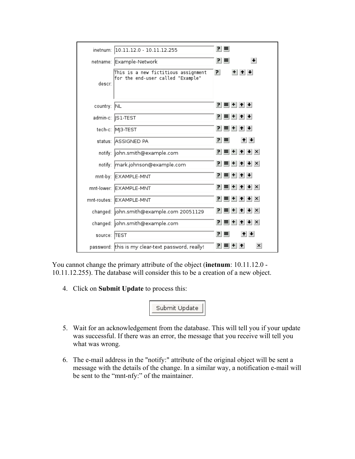| inetnum:     | 10.11.12.0 - 10.11.12.255                                                | 리티                           |
|--------------|--------------------------------------------------------------------------|------------------------------|
|              | netname: Example-Network                                                 | $\left  \cdot \right $<br>민리 |
| descr:       | This is a new fictitious assignment<br>for the end-user called "Example" | P.<br>$+$ $+$ $+$            |
| country: NL  |                                                                          | 귀티비쉬베                        |
|              | admin-c:   S1-TEST                                                       | 귀티비쉬베                        |
|              | tech-c: MJ3-TEST                                                         | 인터비취원                        |
|              | status: ASSIGNED PA                                                      | $+ + $<br>리크                 |
|              | notify:  john.smith@example.com                                          | P ≡ + ↑ + ×                  |
|              | notify: mark.johnson@example.com                                         | 귀 = + + + + ×                |
|              | mnt-by: EXAMPLE-MNT                                                      | 인터비취+                        |
|              | mnt-lower: EXAMPLE-MNT                                                   | $P = + + +$                  |
|              | mnt-routes: EXAMPLE-MNT                                                  | $ P  \equiv  P  +  P $       |
|              | changed:  john.smith@example.com 20051129                                | 귀티+ +  +  ×                  |
|              | changed: john.smith@example.com                                          | 인터비취 (H) X                   |
| source: TEST |                                                                          | $+ + $<br>민리                 |
|              | password: this is my clear-text password, really!                        | $\vert x \vert$<br>РI        |

You cannot change the primary attribute of the object (**inetnum**: 10.11.12.0 - 10.11.12.255). The database will consider this to be a creation of a new object.

4. Click on **Submit Update** to process this:

Submit Update

- 5. Wait for an acknowledgement from the database. This will tell you if your update was successful. If there was an error, the message that you receive will tell you what was wrong.
- 6. The e-mail address in the "notify:" attribute of the original object will be sent a message with the details of the change. In a similar way, a notification e-mail will be sent to the "mnt-nfy:" of the maintainer.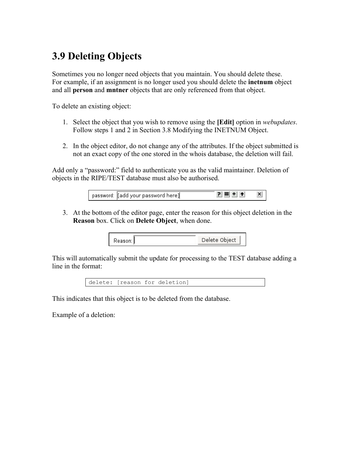# <span id="page-26-0"></span>**3.9 Deleting Objects**

Sometimes you no longer need objects that you maintain. You should delete these. For example, if an assignment is no longer used you should delete the **inetnum** object and all **person** and **mntner** objects that are only referenced from that object.

To delete an existing object:

- 1. Select the object that you wish to remove using the **[Edit]** option in *webupdates*. Follow steps 1 and 2 in Section [3.8 Modifying the INETNUM Object.](#page-24-1)
- 2. In the object editor, do not change any of the attributes. If the object submitted is not an exact copy of the one stored in the whois database, the deletion will fail.

Add only a "password:" field to authenticate you as the valid maintainer. Deletion of objects in the RIPE/TEST database must also be authorised.

| password: [[add your password here]] | $P \equiv   +   +  $ | $\vert x \vert$ |
|--------------------------------------|----------------------|-----------------|
|                                      |                      |                 |

3. At the bottom of the editor page, enter the reason for this object deletion in the **Reason** box. Click on **Delete Object**, when done.

| Reason: | Delete Object |
|---------|---------------|
|         |               |

This will automatically submit the update for processing to the TEST database adding a line in the format:



This indicates that this object is to be deleted from the database.

Example of a deletion: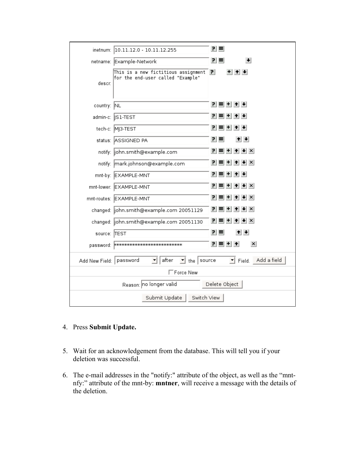|                | inetnum: 10.11.12.0 - 10.11.12.255                                       | 민리                                   |
|----------------|--------------------------------------------------------------------------|--------------------------------------|
|                | netname: Example-Network                                                 | 리트<br>$\left  \cdot \right $         |
| descr:         | This is a new fictitious assignment<br>for the end-user called "Example" | PI.<br>+⊩↑⊩+                         |
| country: NL    |                                                                          | 힘들비 취회                               |
|                | admin−c: ∥S1-TEST                                                        | 귀티+ + +                              |
|                | tech-c: MJ3-TEST                                                         | 힘들비 취회                               |
|                | status: ASSIGNED PA                                                      | 민리<br>$+$                            |
|                | notify: john.smith@example.com                                           | $ P  \equiv  P  +  P  +  X $         |
|                | notify: mark.johnson@example.com                                         | $ P  \equiv  P  +  P  +  X $         |
|                | mnt-by: EXAMPLE-MNT                                                      | 힘들러 취회                               |
|                | mnt-lower: EXAMPLE-MNT                                                   | $ P  \equiv  P  +  P $               |
|                | mnt-routes: EXAMPLE-MNT                                                  | $P = + +$                            |
|                | changed:  john.smith@example.com 20051129                                | $P = + +$                            |
|                | changed: john.smith@example.com 20051130                                 | PI.<br>$+$ $+$ $\times$<br>$\ddot{}$ |
| source: TEST   |                                                                          | 리트<br>$+ + $                         |
|                |                                                                          | 인터비치<br>$\vert x \vert$              |
| Add New Field: | after<br>password<br>the $ $ source                                      | Field. Add a field                   |
|                | $\Box$ Force New                                                         |                                      |
|                | Reason: no longer valid                                                  | Delete Object                        |
|                | Switch View<br>Submit Update                                             |                                      |

- 4. Press **Submit Update.**
- 5. Wait for an acknowledgement from the database. This will tell you if your deletion was successful.
- 6. The e-mail addresses in the "notify:" attribute of the object, as well as the "mntnfy:" attribute of the mnt-by: **mntner**, will receive a message with the details of the deletion.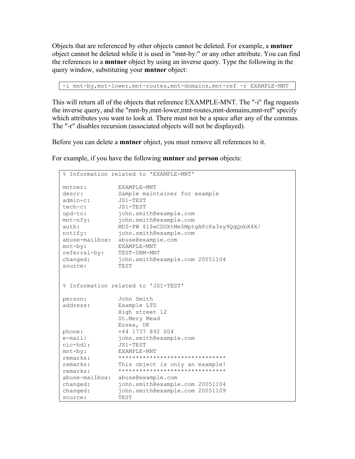Objects that are referenced by other objects cannot be deleted. For example, a **mntner** object cannot be deleted while it is used in "mnt-by:" or any other attribute. You can find the references to a **mntner** object by using an inverse query. Type the following in the query window, substituting your **mntner** object:

-i mnt-by, mnt-lower, mnt-routes, mnt-domains, mnt-ref -r EXAMPLE-MNT

This will return all of the objects that reference EXAMPLE-MNT. The "-i" flag requests the inverse query, and the "mnt-by,mnt-lower,mnt-routes,mnt-domains,mnt-ref" specify which attributes you want to look at. There must not be a space after any of the commas. The "-r" disables recursion (associated objects will not be displayed).

Before you can delete a **mntner** object, you must remove all references to it.

For example, if you have the following **mntner** and **person** objects:

|                | % Information related to 'EXAMPLE-MNT'       |
|----------------|----------------------------------------------|
| mntner:        | EXAMPLE-MNT                                  |
| descr:         | Sample maintainer for example                |
| $admin-c$ :    | JS1-TEST                                     |
| tech-c:        | JS1-TEST                                     |
| upd-to:        | john.smith@example.com                       |
| $mnt-nfy$ :    | john.smith@example.com                       |
| auth:          | MD5-PW \$1\$wCDUXtMe\$MptgAFcPa3sy9QqQnbX4X/ |
| notify:        | john.smith@example.com                       |
| abuse-mailbox: | abuse@example.com                            |
| $mnt-by:$      | EXAMPLE-MNT                                  |
| referral-by:   | TEST-DBM-MNT                                 |
| changed:       | john.smith@example.com 20051104              |
| source:        | TEST                                         |
|                | % Information related to 'JS1-TEST'          |
| person:        | John Smith                                   |
| address:       | Example LTD                                  |
|                | High street 12                               |
|                | St.Mery Mead                                 |
|                | Essex, UK                                    |
| phone:         | +44 1737 892 004                             |
| $e$ -mail:     | john.smith@example.com                       |
| nic-hdl:       | JS1-TEST                                     |
| $mnt-by:$      | EXAMPLE-MNT                                  |
| remarks:       | *******************************              |
| remarks:       | This object is only an example!              |
| remarks:       | *******************************              |
| abuse-mailbox: | abuse@example.com                            |
| changed:       | john.smith@example.com 20051104              |
| changed:       | john.smith@example.com 20051109              |
| source:        | TEST                                         |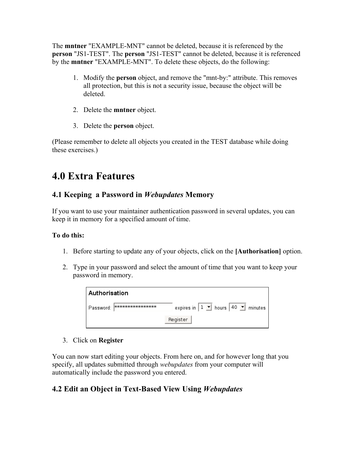<span id="page-29-0"></span>The **mntner** "EXAMPLE-MNT" cannot be deleted, because it is referenced by the **person** "JS1-TEST". The **person** "JS1-TEST" cannot be deleted, because it is referenced by the **mntner** "EXAMPLE-MNT". To delete these objects, do the following:

- 1. Modify the **person** object, and remove the "mnt-by:" attribute. This removes all protection, but this is not a security issue, because the object will be deleted.
- 2. Delete the **mntner** object.
- 3. Delete the **person** object.

(Please remember to delete all objects you created in the TEST database while doing these exercises.)

### **4.0 Extra Features**

### **4.1 Keeping a Password in** *Webupdates* **Memory**

If you want to use your maintainer authentication password in several updates, you can keep it in memory for a specified amount of time.

### **To do this:**

- 1. Before starting to update any of your objects, click on the **[Authorisation]** option.
- 2. Type in your password and select the amount of time that you want to keep your password in memory.

| Authorisation                                               |                                                 |
|-------------------------------------------------------------|-------------------------------------------------|
| │ Password: │ <del>भव्यव्यव्यव्यव्यव्यव्यव्यव्यव्यव्य</del> | expires in $1 \cdot 1$ hours 40 $\cdot$ minutes |
|                                                             | Register                                        |

3. Click on **Register**

You can now start editing your objects. From here on, and for however long that you specify, all updates submitted through *webupdates* from your computer will automatically include the password you entered.

### **4.2 Edit an Object in Text-Based View Using** *Webupdates*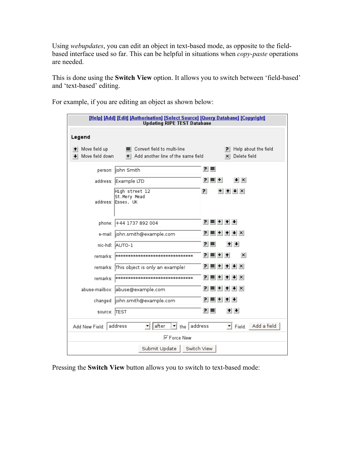Using *webupdates*, you can edit an object in text-based mode, as opposite to the fieldbased interface used so far. This can be helpful in situations when *copy-paste* operations are needed.

This is done using the **Switch View** option. It allows you to switch between 'field-based' and 'text-based' editing.

For example, if you are editing an object as shown below:

| [Help] [Add] [Edit] [Authorisation] [Select Source] [Query Database] [Copyright]<br><b>Updating RIPE TEST Database</b> |                                                      |
|------------------------------------------------------------------------------------------------------------------------|------------------------------------------------------|
| Legend                                                                                                                 |                                                      |
| Move field up<br>Convert field to multi-line<br>≕<br>Move field down<br>Add another line of the same field<br>$+$      | Help about the field<br>PI.<br>$\times$ Delete field |
| person:  John Smith                                                                                                    | 키티                                                   |
| address: Example LTD                                                                                                   | PI.<br>$\vert \cdot \vert \times$<br>$\ddot{}$       |
| High street 12<br>St.Mery Mead<br>address: IEssex, UK                                                                  | 리<br>$+$ $+$ $+$ $\times$                            |
| phone: +44 1737 892 004                                                                                                | 인터비취원                                                |
| e-mail:  john.smith@example.com                                                                                        | $+$ $+$ $\times$<br>린                                |
| nic-hdl: AUTO-1                                                                                                        | 귀<br>트<br>$+$ $+$                                    |
| remarks:  अञ्चलकात्कालकात्कालकात्कालकात्कालकात्कालकात्का                                                               | 귀 = + ↑<br>$\vert x \vert$                           |
| remarks: This object is only an example!                                                                               | P ≡ + ↑ → ×                                          |
| remarks:  ********************************                                                                             | 린                                                    |
| abuse-mailbox: abuse@example.com                                                                                       | PI≡I+I+I+I×I                                         |
| changed:  john.smith@example.com                                                                                       | 귀를 + ↑ +                                             |
| source: TEST                                                                                                           | 리크<br>$+$ $+$                                        |
| address<br>$\mathbf{r}$ the address<br>after<br>Add New Field:<br>▼                                                    | Field. Add a field                                   |
| <b>▽Force New</b>                                                                                                      |                                                      |
| Switch View<br>Submit Update                                                                                           |                                                      |

Pressing the **Switch View** button allows you to switch to text-based mode: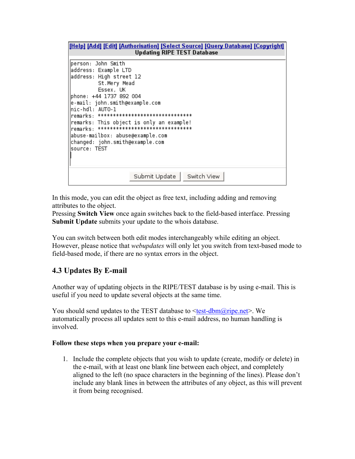<span id="page-31-0"></span>

In this mode, you can edit the object as free text, including adding and removing attributes to the object.

Pressing **Switch View** once again switches back to the field-based interface. Pressing **Submit Update** submits your update to the whois database.

You can switch between both edit modes interchangeably while editing an object. However, please notice that *webupdates* will only let you switch from text-based mode to field-based mode, if there are no syntax errors in the object.

### **4.3 Updates By E-mail**

Another way of updating objects in the RIPE/TEST database is by using e-mail. This is useful if you need to update several objects at the same time.

You should send updates to the TEST database to  $\leq$ test-dbm $\omega$ ripe.net>. We automatically process all updates sent to this e-mail address, no human handling is involved.

#### **Follow these steps when you prepare your e-mail:**

1. Include the complete objects that you wish to update (create, modify or delete) in the e-mail, with at least one blank line between each object, and completely aligned to the left (no space characters in the beginning of the lines). Please don't include any blank lines in between the attributes of any object, as this will prevent it from being recognised.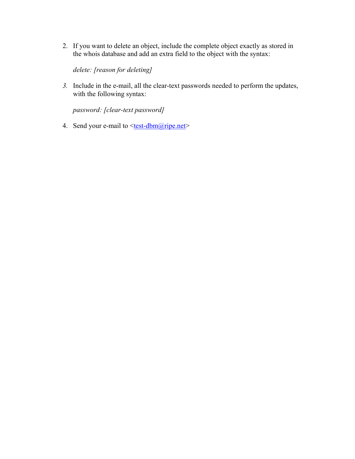2. If you want to delete an object, include the complete object exactly as stored in the whois database and add an extra field to the object with the syntax:

*delete: [reason for deleting]*

*3.* Include in the e-mail, all the clear-text passwords needed to perform the updates, with the following syntax:

*password: [clear-text password]* 

4. Send your e-mail to  $\leq$ test-dbm $@$ ripe.net>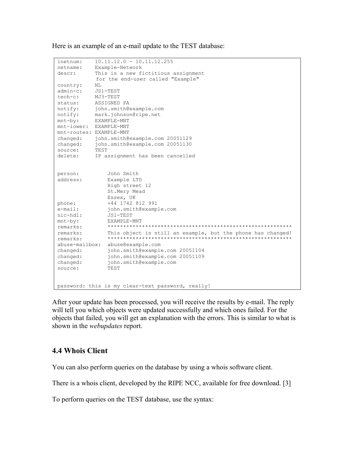<span id="page-33-0"></span>Here is an example of an e-mail update to the TEST database:

```
inetnum: 10.11.12.0 - 10.11.12.255 
netname: Example-Network 
descr: This is a new fictitious assignment 
           for the end-user called "Example" 
country: NL 
admin-c: JS1-TEST 
tech-c: MJ3-TEST 
status: ASSIGNED PA 
notify: john.smith@example.com 
notify: mark.johnson@ripe.net 
mnt-by: EXAMPLE-MNT 
mnt-lower: EXAMPLE-MNT 
mnt-routes: EXAMPLE-MNT 
changed: john.smith@example.com 20051129 
changed: john.smith@example.com 20051130 
source: TEST 
source: TEST<br>delete: IP assignment has been cancelled
person: John Smith 
address: Example LTD 
             High street 12 
             St.Mery Mead 
             Essex, UK 
phone: +44 1742 812 991 
e-mail: john.smith@example.com 
nic-hdl: JS1-TEST 
mnt-by: EXAMPLE-MNT 
remarks: *********************************************************** 
remarks: This object is still an example, but the phone has changed! 
remarks: *********************************************************** 
abuse-mailbox: abuse@example.com 
changed: john.smith@example.com 20051104 
changed: john.smith@example.com 20051109 
changed: john.smith@example.com 
source: TEST 
password: this is my clear-text password, really!
```
After your update has been processed, you will receive the results by e-mail. The reply will tell you which objects were updated successfully and which ones failed. For the objects that failed, you will get an explanation with the errors. This is similar to what is shown in the *webupdates* report.

### **4.4 Whois Client**

You can also perform queries on the database by using a whois software client.

There is a whois client, developed by the RIPE NCC, available for free download. [3]

To perform queries on the TEST database, use the syntax: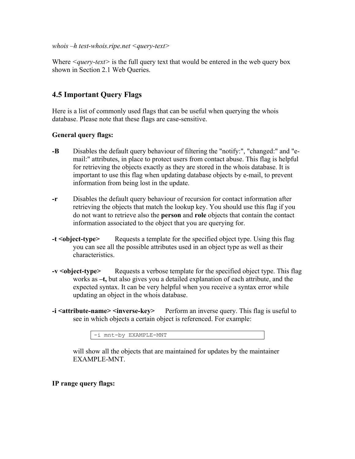#### <span id="page-34-0"></span>*whois –h test-whois.ripe.net <query-text>*

Where *<query-text>* is the full query text that would be entered in the web query box shown in Section [2.1 Web Queries.](#page-4-1)

### **4.5 Important Query Flags**

Here is a list of commonly used flags that can be useful when querying the whois database. Please note that these flags are case-sensitive.

#### **General query flags:**

- **-B** Disables the default query behaviour of filtering the "notify:", "changed:" and "email:" attributes, in place to protect users from contact abuse. This flag is helpful for retrieving the objects exactly as they are stored in the whois database. It is important to use this flag when updating database objects by e-mail, to prevent information from being lost in the update.
- **-r** Disables the default query behaviour of recursion for contact information after retrieving the objects that match the lookup key. You should use this flag if you do not want to retrieve also the **person** and **role** objects that contain the contact information associated to the object that you are querying for.
- **-t** <object-type> Requests a template for the specified object type. Using this flag you can see all the possible attributes used in an object type as well as their characteristics.
- **-v <object-type>** Requests a verbose template for the specified object type. This flag works as **–t,** but also gives you a detailed explanation of each attribute, and the expected syntax. It can be very helpful when you receive a syntax error while updating an object in the whois database.
- **-i <attribute-name> <inverse-key>** Perform an inverse query. This flag is useful to see in which objects a certain object is referenced. For example:

| .<br>-<br>______<br>$\sim$ | ١N<br>- |
|----------------------------|---------|
|----------------------------|---------|

will show all the objects that are maintained for updates by the maintainer EXAMPLE-MNT.

### **IP range query flags:**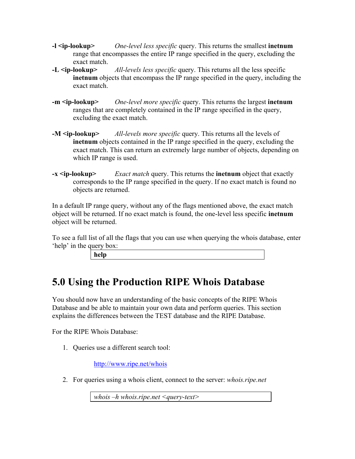- <span id="page-35-0"></span>**-l <ip-lookup>** *One-level less specific* query. This returns the smallest **inetnum**  range that encompasses the entire IP range specified in the query, excluding the exact match.
- **-L <ip-lookup>** *All-levels less specific* query. This returns all the less specific **inetnum** objects that encompass the IP range specified in the query, including the exact match.
- **-m <ip-lookup>** *One-level more specific* query. This returns the largest **inetnum**  ranges that are completely contained in the IP range specified in the query, excluding the exact match.
- **-M <ip-lookup>** *All-levels more specific* query. This returns all the levels of **inetnum** objects contained in the IP range specified in the query, excluding the exact match. This can return an extremely large number of objects, depending on which IP range is used.
- **-x <ip-lookup>** *Exact match* query. This returns the **inetnum** object that exactly corresponds to the IP range specified in the query. If no exact match is found no objects are returned.

In a default IP range query, without any of the flags mentioned above, the exact match object will be returned. If no exact match is found, the one-level less specific **inetnum**  object will be returned.

To see a full list of all the flags that you can use when querying the whois database, enter 'help' in the query box:

| ×<br>۰. |
|---------|
|---------|

# <span id="page-35-1"></span>**5.0 Using the Production RIPE Whois Database**

You should now have an understanding of the basic concepts of the RIPE Whois Database and be able to maintain your own data and perform queries. This section explains the differences between the TEST database and the RIPE Database.

For the RIPE Whois Database:

1. Queries use a different search tool:

<http://www.ripe.net/whois>

2. For queries using a whois client, connect to the server: *whois.ripe.net*

*whois –h whois.ripe.net <query-text>*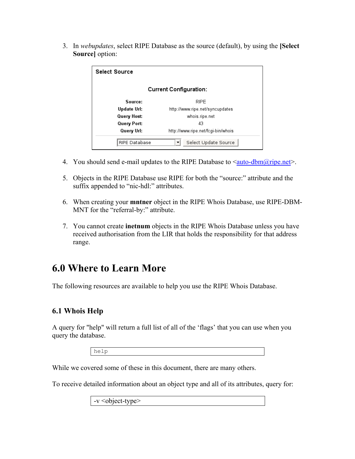<span id="page-36-0"></span>3. In *webupdates*, select RIPE Database as the source (default), by using the **[Select Source]** option:

| <b>Select Source</b>          |                                    |
|-------------------------------|------------------------------------|
| <b>Current Configuration:</b> |                                    |
| Source:                       | RIPE                               |
| Update Url:                   | http://www.ripe.net/syncupdates    |
| Query Host:                   | whois.ripe.net                     |
| Query Port:                   | 43                                 |
| Query Url:                    | http://www.ripe.net/fcgi-bin/whois |
| <b>RIPE Database</b>          | Select Update Source               |

- 4. You should send e-mail updates to the RIPE Database to  $\leq \frac{\text{auto-dbm@ripe.net}}{\text{drive.net}}$ .
- 5. Objects in the RIPE Database use RIPE for both the "source:" attribute and the suffix appended to "nic-hdl:" attributes.
- 6. When creating your **mntner** object in the RIPE Whois Database, use RIPE-DBM-MNT for the "referral-by:" attribute.
- 7. You cannot create **inetnum** objects in the RIPE Whois Database unless you have received authorisation from the LIR that holds the responsibility for that address range.

### **6.0 Where to Learn More**

The following resources are available to help you use the RIPE Whois Database.

### **6.1 Whois Help**

A query for "help" will return a full list of all of the 'flags' that you can use when you query the database.

help

While we covered some of these in this document, there are many others.

To receive detailed information about an object type and all of its attributes, query for:

-v <object-type>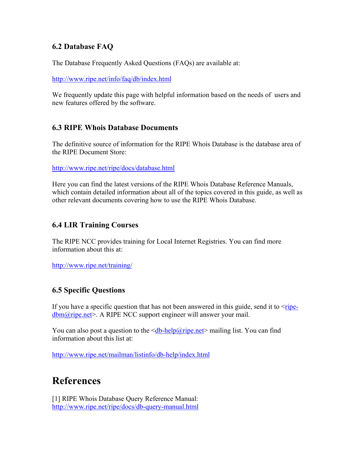### <span id="page-37-0"></span>**6.2 Database FAQ**

The Database Frequently Asked Questions (FAQs) are available at:

<http://www.ripe.net/info/faq/db/index.html>

We frequently update this page with helpful information based on the needs of users and new features offered by the software.

### **6.3 RIPE Whois Database Documents**

The definitive source of information for the RIPE Whois Database is the database area of the RIPE Document Store:

<http://www.ripe.net/ripe/docs/database.html>

Here you can find the latest versions of the RIPE Whois Database Reference Manuals, which contain detailed information about all of the topics covered in this guide, as well as other relevant documents covering how to use the RIPE Whois Database.

### **6.4 LIR Training Courses**

The RIPE NCC provides training for Local Internet Registries. You can find more information about this at:

<http://www.ripe.net/training/>

### **6.5 Specific Questions**

If you have a specific question that has not been answered in this guide, send it to  $\langle$ [ripe-](mailto:ripe-dbm@ripe.net) $\underline{\text{dbm}}(\overline{\text{a}})$ ripe.net >. A RIPE NCC support engineer will answer your mail.

You can also post a question to the  $\leq$ db-help@ripe.net mailing list. You can find information about this list at:

<http://www.ripe.net/mailman/listinfo/db-help/index.html>

### **References**

[1] RIPE Whois Database Query Reference Manual: <http://www.ripe.net/ripe/docs/db-query-manual.html>